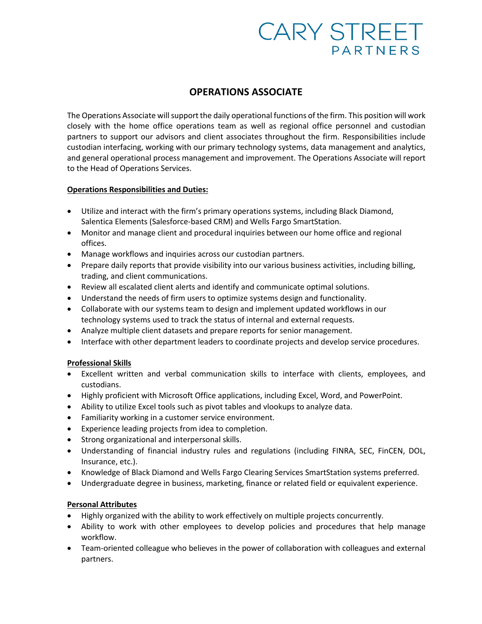# **CARY STREET PARTNERS**

# **OPERATIONS ASSOCIATE**

The Operations Associate will support the daily operational functions of the firm. This position will work closely with the home office operations team as well as regional office personnel and custodian partners to support our advisors and client associates throughout the firm. Responsibilities include custodian interfacing, working with our primary technology systems, data management and analytics, and general operational process management and improvement. The Operations Associate will report to the Head of Operations Services.

#### **Operations Responsibilities and Duties:**

- Utilize and interact with the firm's primary operations systems, including Black Diamond, Salentica Elements (Salesforce-based CRM) and Wells Fargo SmartStation.
- Monitor and manage client and procedural inquiries between our home office and regional offices.
- Manage workflows and inquiries across our custodian partners.
- Prepare daily reports that provide visibility into our various business activities, including billing, trading, and client communications.
- Review all escalated client alerts and identify and communicate optimal solutions.
- Understand the needs of firm users to optimize systems design and functionality.
- Collaborate with our systems team to design and implement updated workflows in our technology systems used to track the status of internal and external requests.
- Analyze multiple client datasets and prepare reports for senior management.
- Interface with other department leaders to coordinate projects and develop service procedures.

## **Professional Skills**

- Excellent written and verbal communication skills to interface with clients, employees, and custodians.
- Highly proficient with Microsoft Office applications, including Excel, Word, and PowerPoint.
- Ability to utilize Excel tools such as pivot tables and vlookups to analyze data.
- Familiarity working in a customer service environment.
- Experience leading projects from idea to completion.
- Strong organizational and interpersonal skills.
- Understanding of financial industry rules and regulations (including FINRA, SEC, FinCEN, DOL, Insurance, etc.).
- Knowledge of Black Diamond and Wells Fargo Clearing Services SmartStation systems preferred.
- Undergraduate degree in business, marketing, finance or related field or equivalent experience.

## **Personal Attributes**

- Highly organized with the ability to work effectively on multiple projects concurrently.
- Ability to work with other employees to develop policies and procedures that help manage workflow.
- Team-oriented colleague who believes in the power of collaboration with colleagues and external partners.